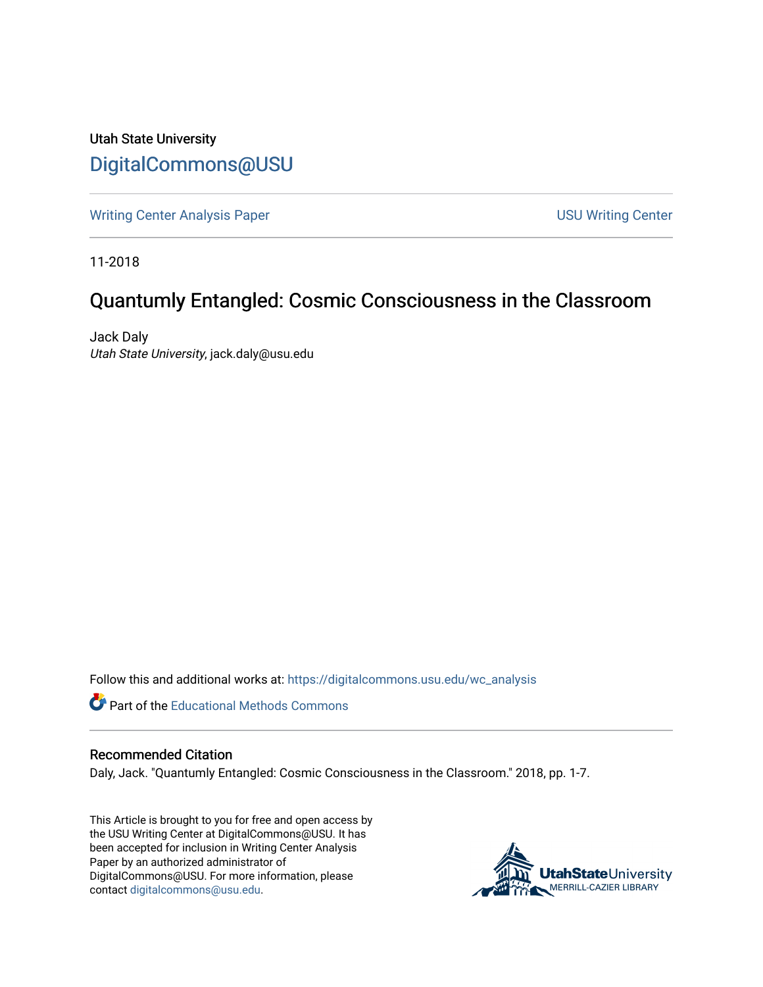Utah State University [DigitalCommons@USU](https://digitalcommons.usu.edu/)

[Writing Center Analysis Paper](https://digitalcommons.usu.edu/wc_analysis) [USU Writing Center](https://digitalcommons.usu.edu/wc) 

11-2018

# Quantumly Entangled: Cosmic Consciousness in the Classroom

Jack Daly Utah State University, jack.daly@usu.edu

Follow this and additional works at: [https://digitalcommons.usu.edu/wc\\_analysis](https://digitalcommons.usu.edu/wc_analysis?utm_source=digitalcommons.usu.edu%2Fwc_analysis%2F20&utm_medium=PDF&utm_campaign=PDFCoverPages) 

Part of the [Educational Methods Commons](http://network.bepress.com/hgg/discipline/1227?utm_source=digitalcommons.usu.edu%2Fwc_analysis%2F20&utm_medium=PDF&utm_campaign=PDFCoverPages) 

#### Recommended Citation

Daly, Jack. "Quantumly Entangled: Cosmic Consciousness in the Classroom." 2018, pp. 1-7.

This Article is brought to you for free and open access by the USU Writing Center at DigitalCommons@USU. It has been accepted for inclusion in Writing Center Analysis Paper by an authorized administrator of DigitalCommons@USU. For more information, please contact [digitalcommons@usu.edu](mailto:digitalcommons@usu.edu).

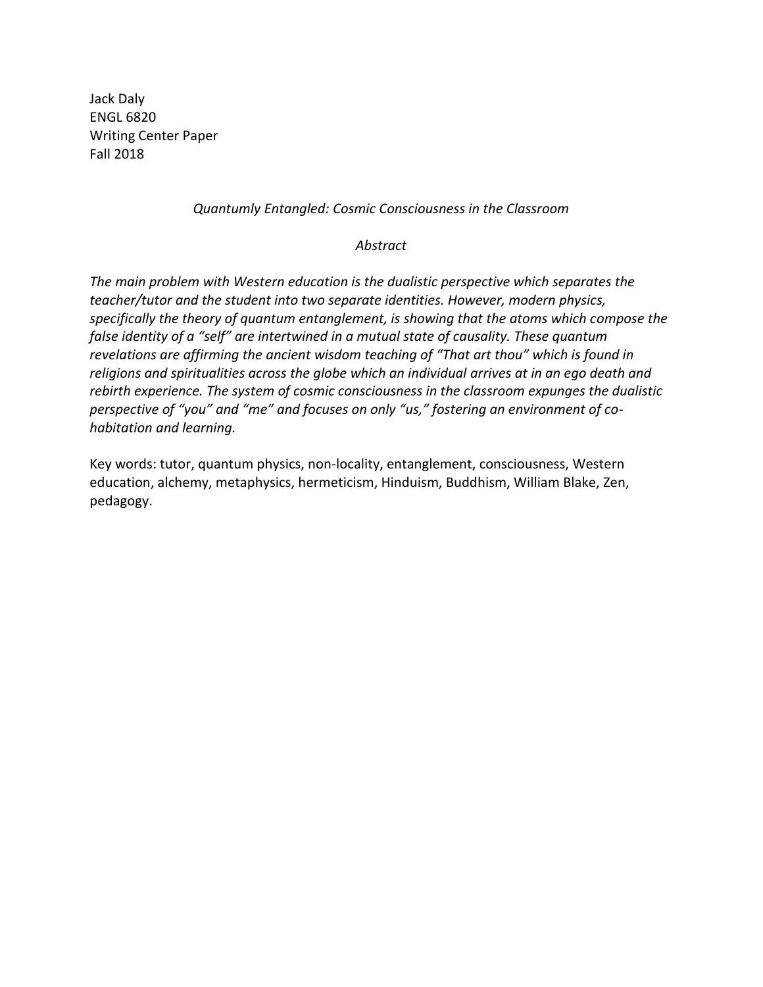Jack Daly ENGL 6820 Writing Center Paper Fall 2018

### *Quantumly Entangled: Cosmic Consciousness in the Classroom*

#### *Abstract*

*The main problem with Western education is the dualistic perspective which separates the teacher/tutor and the student into two separate identities. However, modern physics, specifically the theory of quantum entanglement, is showing that the atoms which compose the false identity of a "self" are intertwined in a mutual state of causality. These quantum revelations are affirming the ancient wisdom teaching of "That art thou" which is found in religions and spiritualities across the globe which an individual arrives at in an ego death and rebirth experience. The system of cosmic consciousness in the classroom expunges the dualistic perspective of "you" and "me" and focuses on only "us," fostering an environment of cohabitation and learning.*

Key words: tutor, quantum physics, non-locality, entanglement, consciousness, Western education, alchemy, metaphysics, hermeticism, Hinduism, Buddhism, William Blake, Zen, pedagogy.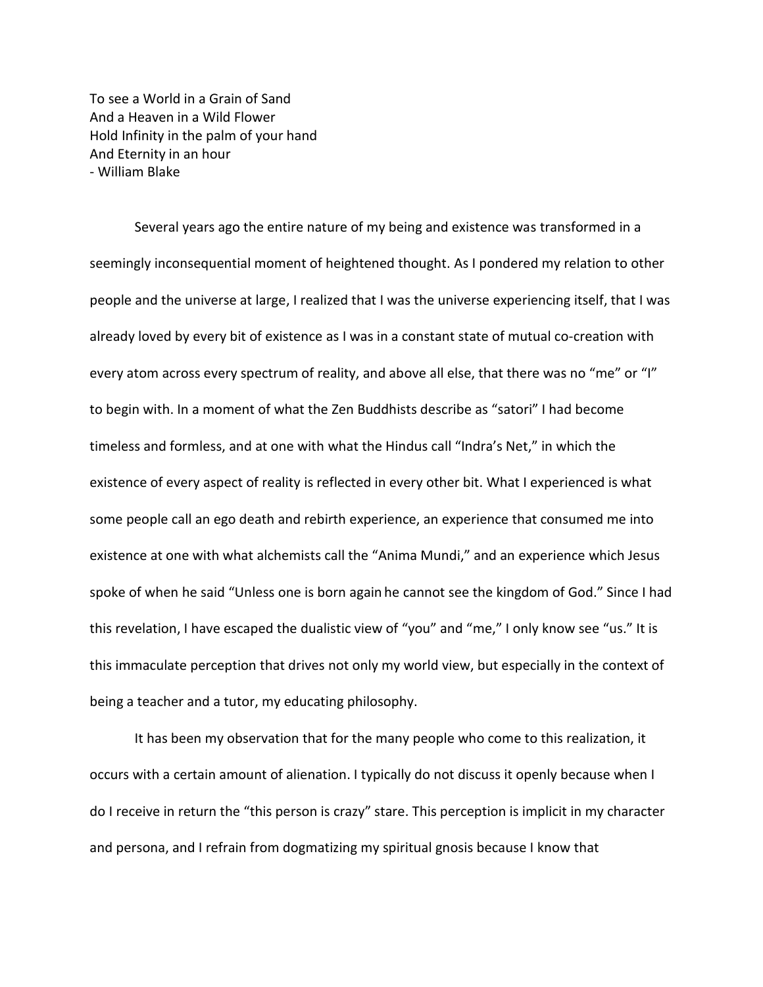To see a World in a Grain of Sand And a Heaven in a Wild Flower Hold Infinity in the palm of your hand And Eternity in an hour - William Blake

Several years ago the entire nature of my being and existence was transformed in a seemingly inconsequential moment of heightened thought. As I pondered my relation to other people and the universe at large, I realized that I was the universe experiencing itself, that I was already loved by every bit of existence as I was in a constant state of mutual co-creation with every atom across every spectrum of reality, and above all else, that there was no "me" or "I" to begin with. In a moment of what the Zen Buddhists describe as "satori" I had become timeless and formless, and at one with what the Hindus call "Indra's Net," in which the existence of every aspect of reality is reflected in every other bit. What I experienced is what some people call an ego death and rebirth experience, an experience that consumed me into existence at one with what alchemists call the "Anima Mundi," and an experience which Jesus spoke of when he said "Unless one is born again he cannot see the kingdom of God." Since I had this revelation, I have escaped the dualistic view of "you" and "me," I only know see "us." It is this immaculate perception that drives not only my world view, but especially in the context of being a teacher and a tutor, my educating philosophy.

It has been my observation that for the many people who come to this realization, it occurs with a certain amount of alienation. I typically do not discuss it openly because when I do I receive in return the "this person is crazy" stare. This perception is implicit in my character and persona, and I refrain from dogmatizing my spiritual gnosis because I know that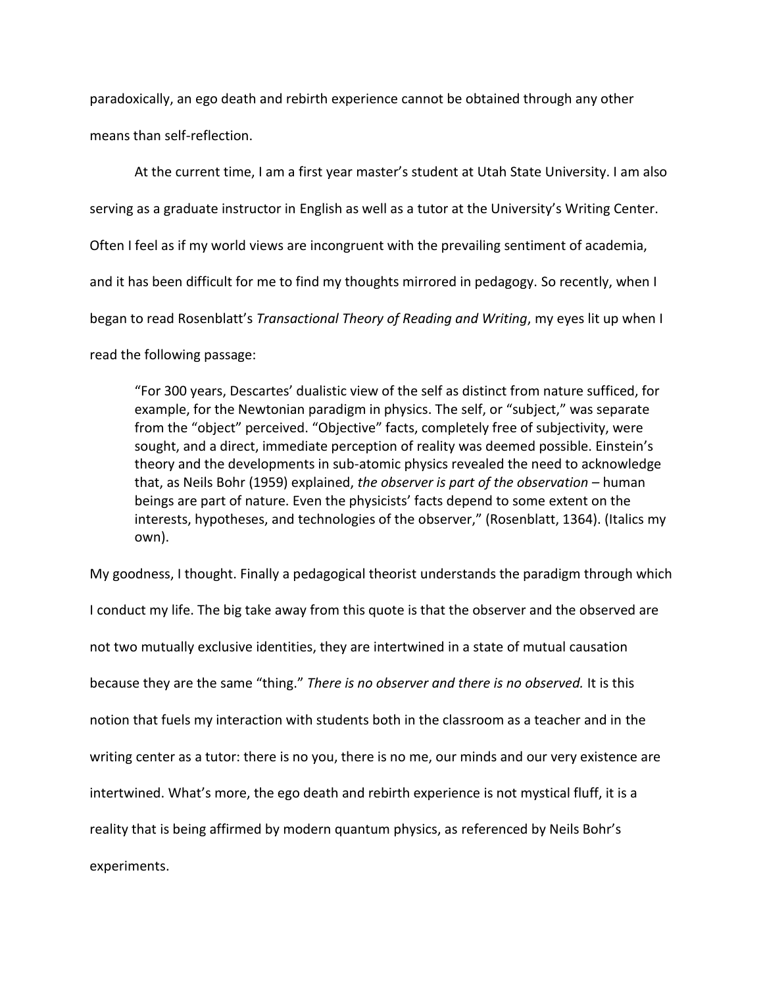paradoxically, an ego death and rebirth experience cannot be obtained through any other means than self-reflection.

At the current time, I am a first year master's student at Utah State University. I am also serving as a graduate instructor in English as well as a tutor at the University's Writing Center. Often I feel as if my world views are incongruent with the prevailing sentiment of academia, and it has been difficult for me to find my thoughts mirrored in pedagogy. So recently, when I began to read Rosenblatt's *Transactional Theory of Reading and Writing*, my eyes lit up when I read the following passage:

"For 300 years, Descartes' dualistic view of the self as distinct from nature sufficed, for example, for the Newtonian paradigm in physics. The self, or "subject," was separate from the "object" perceived. "Objective" facts, completely free of subjectivity, were sought, and a direct, immediate perception of reality was deemed possible. Einstein's theory and the developments in sub-atomic physics revealed the need to acknowledge that, as Neils Bohr (1959) explained, *the observer is part of the observation –* human beings are part of nature. Even the physicists' facts depend to some extent on the interests, hypotheses, and technologies of the observer," (Rosenblatt, 1364). (Italics my own).

My goodness, I thought. Finally a pedagogical theorist understands the paradigm through which I conduct my life. The big take away from this quote is that the observer and the observed are not two mutually exclusive identities, they are intertwined in a state of mutual causation because they are the same "thing." *There is no observer and there is no observed.* It is this notion that fuels my interaction with students both in the classroom as a teacher and in the writing center as a tutor: there is no you, there is no me, our minds and our very existence are intertwined. What's more, the ego death and rebirth experience is not mystical fluff, it is a reality that is being affirmed by modern quantum physics, as referenced by Neils Bohr's experiments.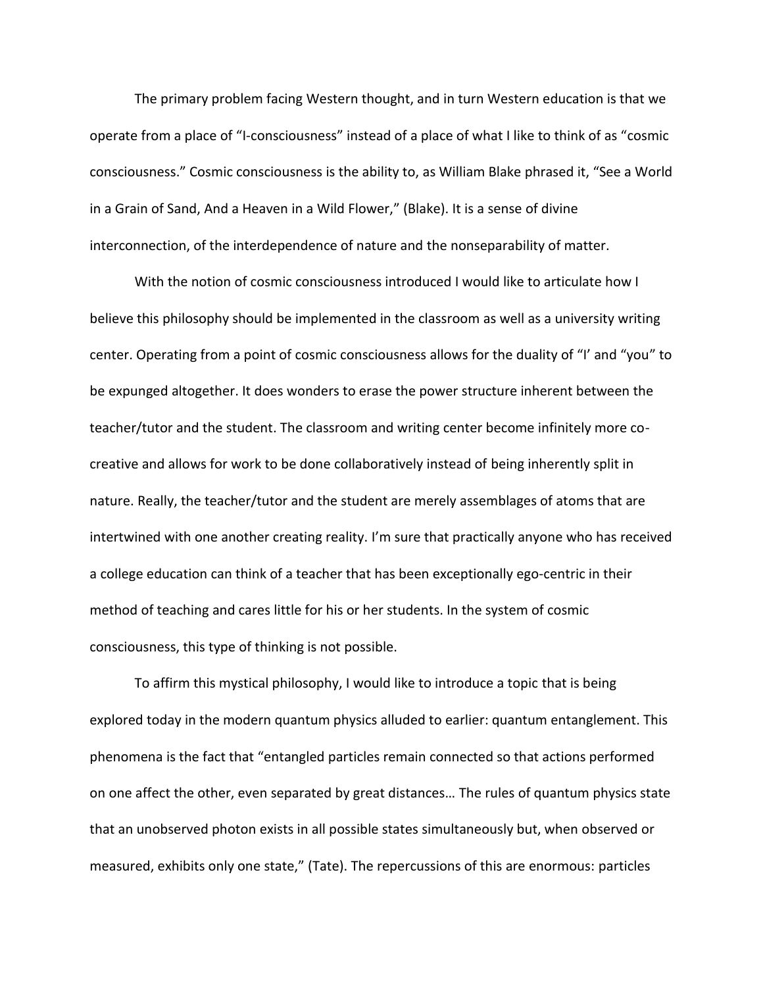The primary problem facing Western thought, and in turn Western education is that we operate from a place of "I-consciousness" instead of a place of what I like to think of as "cosmic consciousness." Cosmic consciousness is the ability to, as William Blake phrased it, "See a World in a Grain of Sand, And a Heaven in a Wild Flower," (Blake). It is a sense of divine interconnection, of the interdependence of nature and the nonseparability of matter.

With the notion of cosmic consciousness introduced I would like to articulate how I believe this philosophy should be implemented in the classroom as well as a university writing center. Operating from a point of cosmic consciousness allows for the duality of "I' and "you" to be expunged altogether. It does wonders to erase the power structure inherent between the teacher/tutor and the student. The classroom and writing center become infinitely more cocreative and allows for work to be done collaboratively instead of being inherently split in nature. Really, the teacher/tutor and the student are merely assemblages of atoms that are intertwined with one another creating reality. I'm sure that practically anyone who has received a college education can think of a teacher that has been exceptionally ego-centric in their method of teaching and cares little for his or her students. In the system of cosmic consciousness, this type of thinking is not possible.

To affirm this mystical philosophy, I would like to introduce a topic that is being explored today in the modern quantum physics alluded to earlier: quantum entanglement. This phenomena is the fact that "entangled particles remain connected so that actions performed on one affect the other, even separated by great distances… The rules of quantum physics state that an unobserved photon exists in all possible states simultaneously but, when observed or measured, exhibits only one state," (Tate). The repercussions of this are enormous: particles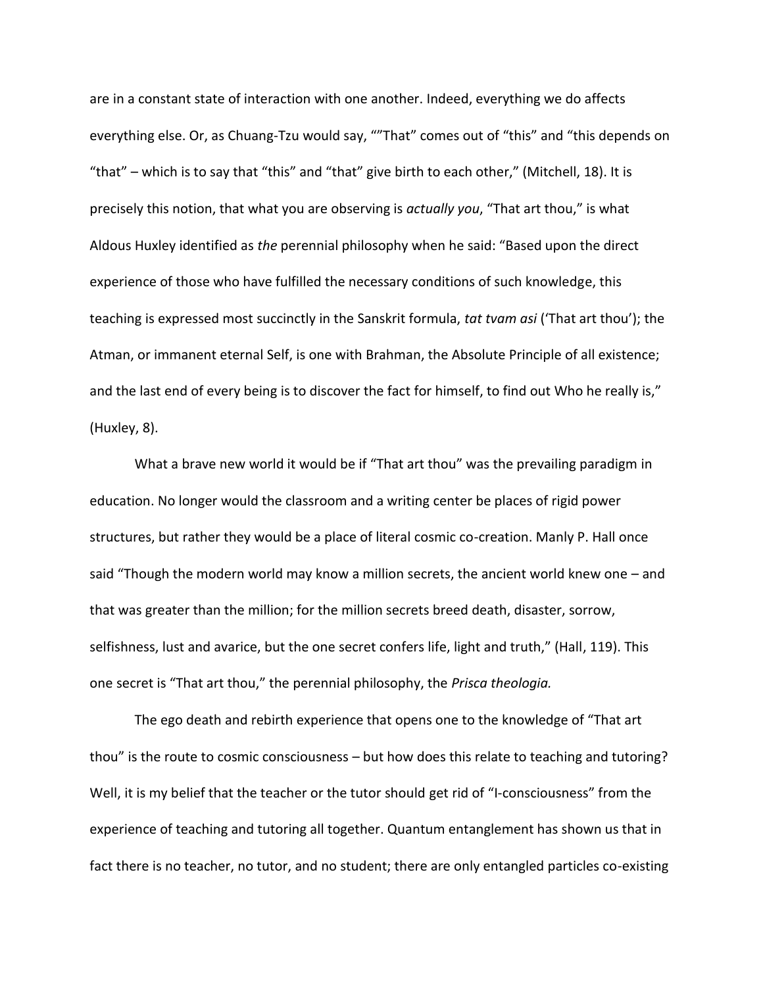are in a constant state of interaction with one another. Indeed, everything we do affects everything else. Or, as Chuang-Tzu would say, ""That" comes out of "this" and "this depends on "that" – which is to say that "this" and "that" give birth to each other," (Mitchell, 18). It is precisely this notion, that what you are observing is *actually you*, "That art thou," is what Aldous Huxley identified as *the* perennial philosophy when he said: "Based upon the direct experience of those who have fulfilled the necessary conditions of such knowledge, this teaching is expressed most succinctly in the Sanskrit formula, *tat tvam asi* ('That art thou'); the Atman, or immanent eternal Self, is one with Brahman, the Absolute Principle of all existence; and the last end of every being is to discover the fact for himself, to find out Who he really is," (Huxley, 8).

What a brave new world it would be if "That art thou" was the prevailing paradigm in education. No longer would the classroom and a writing center be places of rigid power structures, but rather they would be a place of literal cosmic co-creation. Manly P. Hall once said "Though the modern world may know a million secrets, the ancient world knew one – and that was greater than the million; for the million secrets breed death, disaster, sorrow, selfishness, lust and avarice, but the one secret confers life, light and truth," (Hall, 119). This one secret is "That art thou," the perennial philosophy, the *Prisca theologia.* 

The ego death and rebirth experience that opens one to the knowledge of "That art thou" is the route to cosmic consciousness – but how does this relate to teaching and tutoring? Well, it is my belief that the teacher or the tutor should get rid of "I-consciousness" from the experience of teaching and tutoring all together. Quantum entanglement has shown us that in fact there is no teacher, no tutor, and no student; there are only entangled particles co-existing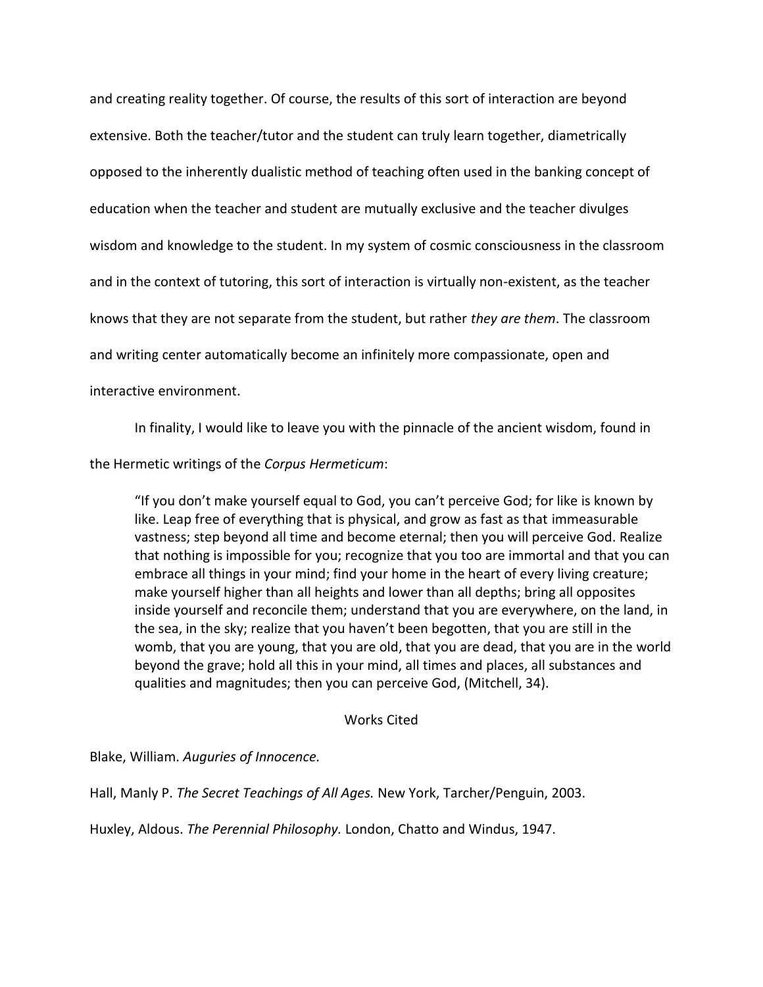and creating reality together. Of course, the results of this sort of interaction are beyond extensive. Both the teacher/tutor and the student can truly learn together, diametrically opposed to the inherently dualistic method of teaching often used in the banking concept of education when the teacher and student are mutually exclusive and the teacher divulges wisdom and knowledge to the student. In my system of cosmic consciousness in the classroom and in the context of tutoring, this sort of interaction is virtually non-existent, as the teacher knows that they are not separate from the student, but rather *they are them*. The classroom and writing center automatically become an infinitely more compassionate, open and interactive environment.

In finality, I would like to leave you with the pinnacle of the ancient wisdom, found in

the Hermetic writings of the *Corpus Hermeticum*:

"If you don't make yourself equal to God, you can't perceive God; for like is known by like. Leap free of everything that is physical, and grow as fast as that immeasurable vastness; step beyond all time and become eternal; then you will perceive God. Realize that nothing is impossible for you; recognize that you too are immortal and that you can embrace all things in your mind; find your home in the heart of every living creature; make yourself higher than all heights and lower than all depths; bring all opposites inside yourself and reconcile them; understand that you are everywhere, on the land, in the sea, in the sky; realize that you haven't been begotten, that you are still in the womb, that you are young, that you are old, that you are dead, that you are in the world beyond the grave; hold all this in your mind, all times and places, all substances and qualities and magnitudes; then you can perceive God, (Mitchell, 34).

## Works Cited

Blake, William. *Auguries of Innocence.* 

Hall, Manly P. *The Secret Teachings of All Ages.* New York, Tarcher/Penguin, 2003.

Huxley, Aldous. *The Perennial Philosophy.* London, Chatto and Windus, 1947.